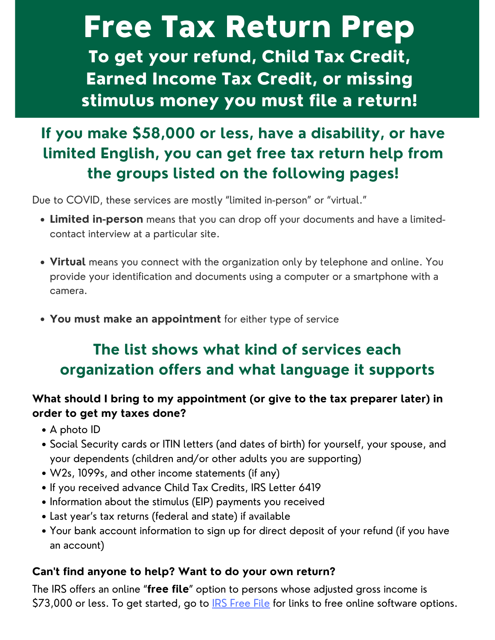# Free Tax Return Prep To get your refund, Child Tax Credit, Earned Income Tax Credit, or missing stimulus money you must file a return!

# **If you make \$58,000 or less, have a disability, or have limited English, you can get free tax return help from the groups listed on the following pages!**

Due to COVID, these services are mostly "limited in-person" or "virtual."

- **Limited in-person** means that you can drop off your documents and have a limitedcontact interview at a particular site.
- **Virtual** means you connect with the organization only by telephone and online. You provide your identification and documents using a computer or a smartphone with a camera.
- **You must make an appointment** for either type of service

# **The list shows what kind of services each organization offers and what language it supports**

#### **What should I bring to my appointment (or give to the tax preparer later) in order to get my taxes done?**

- A photo ID
- Social Security cards or ITIN letters (and dates of birth) for yourself, your spouse, and your dependents (children and/or other adults you are supporting)
- W2s, 1099s, and other income statements (if any)
- If you received advance Child Tax Credits, IRS Letter 6419
- Information about the stimulus (EIP) payments you received
- Last year's tax returns (federal and state) if available
- Your bank account information to sign up for direct deposit of your refund (if you have an account)

#### **Can't find anyone to help? Want to do your own return?**

The IRS offers an online "**free file**" option to persons whose adjusted gross income is \$73,000 or less. To get started, go to **IRS [Free](https://www.irs.gov/filing/free-file-do-your-federal-taxes-for-free) File** for links to free online software options.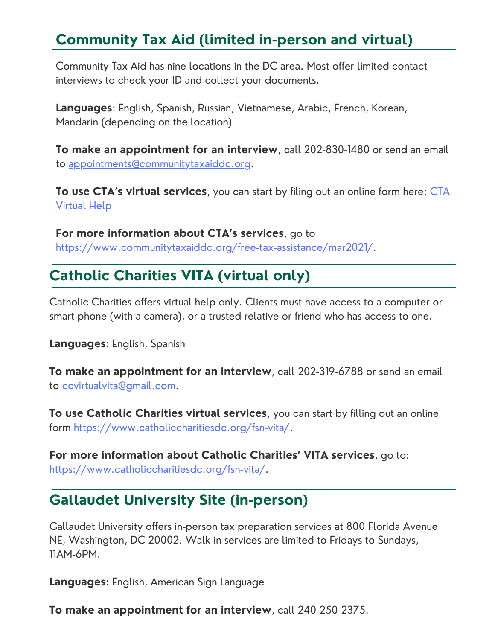# **Community Tax Aid (limited in-person and virtual)**

Community Tax Aid has nine locations in the DC area. Most offer limited contact interviews to check your ID and collect your documents.

**Languages**: English, Spanish, Russian, Vietnamese, Arabic, French, Korean, Mandarin (depending on the location)

**To make an appointment for an interview**, call 202-830-1480 or send an email to [appointments@communitytaxaiddc.org](mailto:appointments@communitytaxaiddc.org).

**To use CTA's virtual [services](https://docs.google.com/forms/d/e/1FAIpQLSf_KNdvV6cz3u_HiEpHZnBp1jEfYUdaQKaK2jPLeBCUEUQdVA/viewform)**, you can start by filing out an online form here: CTA Virtual Help

**For more information about CTA's services**, go to <https://www.communitytaxaiddc.org/free-tax-assistance/mar2021/>.

## **Catholic Charities VITA (virtual only)**

Catholic Charities offers virtual help only. Clients must have access to a computer or smart phone (with a camera), or a trusted relative or friend who has access to one.

**Languages**: English, Spanish

**To make an appointment for an interview**, call 202-319-6788 or send an email to [ccvirtualvita@gmail.com](mailto:ccvirtualvita@gmail.com).

**To use Catholic Charities virtual services**, you can start by filling out an online form <https://www.catholiccharitiesdc.org/fsn-vita/>.

**For more information about Catholic Charities' VITA services**, go to: <https://www.catholiccharitiesdc.org/fsn-vita/>.

### **Gallaudet University Site (in-person)**

Gallaudet University offers in-person tax preparation services at 800 Florida Avenue NE, Washington, DC 20002. Walk-in services are limited to Fridays to Sundays, 11AM-6PM.

**Languages**: English, American Sign Language

**To make an appointment for an interview**, call 240-250-2375.